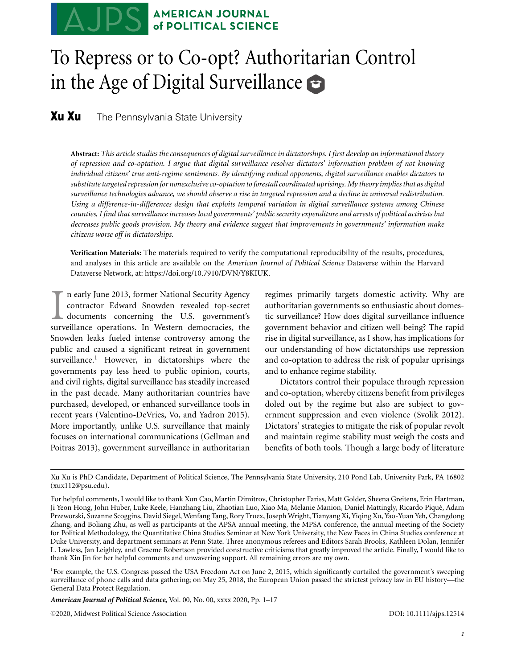# **AMERICAN JOURNAL<br>of POLITICAL SCIENCE**

# To Repress or to Co-opt? Authoritarian Control in the Age of Digital Surveillance

**Xu Xu** The Pennsylvania State University

**Abstract:** *This article studies the consequences of digital surveillance in dictatorships. I first develop an informational theory of repression and co-optation. I argue that digital surveillance resolves dictators' information problem of not knowing individual citizens' true anti-regime sentiments. By identifying radical opponents, digital surveillance enables dictators to substitute targeted repression for nonexclusive co-optation to forestall coordinated uprisings. My theory implies that as digital surveillance technologies advance, we should observe a rise in targeted repression and a decline in universal redistribution. Using a difference-in-differences design that exploits temporal variation in digital surveillance systems among Chinese counties, I find that surveillance increases local governments' public security expenditure and arrests of political activists but decreases public goods provision. My theory and evidence suggest that improvements in governments' information make citizens worse off in dictatorships.*

**Verification Materials:** The materials required to verify the computational reproducibility of the results, procedures, and analyses in this article are available on the *American Journal of Political Science* Dataverse within the Harvard Dataverse Network, at: [https://doi.org/10.7910/DVN/Y8KIUK.](https://doi.org/10.7910/DVN/Y8KIUK)

In early June 2013, former National Security Agency<br>contractor Edward Snowden revealed top-secret<br>documents concerning the U.S. government's<br>surveillance operations. In Western democracies, the n early June 2013, former National Security Agency contractor Edward Snowden revealed top-secret documents concerning the U.S. government's Snowden leaks fueled intense controversy among the public and caused a significant retreat in government surveillance.<sup>1</sup> However, in dictatorships where the governments pay less heed to public opinion, courts, and civil rights, digital surveillance has steadily increased in the past decade. Many authoritarian countries have purchased, developed, or enhanced surveillance tools in recent years (Valentino-DeVries, Vo, and Yadron 2015). More importantly, unlike U.S. surveillance that mainly focuses on international communications (Gellman and Poitras 2013), government surveillance in authoritarian

regimes primarily targets domestic activity. Why are authoritarian governments so enthusiastic about domestic surveillance? How does digital surveillance influence government behavior and citizen well-being? The rapid rise in digital surveillance, as I show, has implications for our understanding of how dictatorships use repression and co-optation to address the risk of popular uprisings and to enhance regime stability.

Dictators control their populace through repression and co-optation, whereby citizens benefit from privileges doled out by the regime but also are subject to government suppression and even violence (Svolik 2012). Dictators' strategies to mitigate the risk of popular revolt and maintain regime stability must weigh the costs and benefits of both tools. Though a large body of literature

<sup>1</sup>For example, the U.S. Congress passed the USA Freedom Act on June 2, 2015, which significantly curtailed the government's sweeping surveillance of phone calls and data gathering; on May 25, 2018, the European Union passed the strictest privacy law in EU history—the General Data Protect Regulation.

*American Journal of Political Science***,** Vol. 00, No. 00, xxxx 2020, Pp. 1–17

-<sup>C</sup> 2020, Midwest Political Science Association DOI: 10.1111/ajps.12514

Xu Xu is PhD Candidate, Department of Political Science, The Pennsylvania State University, 210 Pond Lab, University Park, PA 16802 (xux112@psu.edu).

For helpful comments, I would like to thank Xun Cao, Martin Dimitrov, Christopher Fariss, Matt Golder, Sheena Greitens, Erin Hartman, Ji Yeon Hong, John Huber, Luke Keele, Hanzhang Liu, Zhaotian Luo, Xiao Ma, Melanie Manion, Daniel Mattingly, Ricardo Pique, Adam ´ Przeworski, Suzanne Scoggins, David Siegel, Wenfang Tang, Rory Truex, Joseph Wright, Tianyang Xi, Yiqing Xu, Yao-Yuan Yeh, Changdong Zhang, and Boliang Zhu, as well as participants at the APSA annual meeting, the MPSA conference, the annual meeting of the Society for Political Methodology, the Quantitative China Studies Seminar at New York University, the New Faces in China Studies conference at Duke University, and department seminars at Penn State. Three anonymous referees and Editors Sarah Brooks, Kathleen Dolan, Jennifer L. Lawless, Jan Leighley, and Graeme Robertson provided constructive criticisms that greatly improved the article. Finally, I would like to thank Xin Jin for her helpful comments and unwavering support. All remaining errors are my own.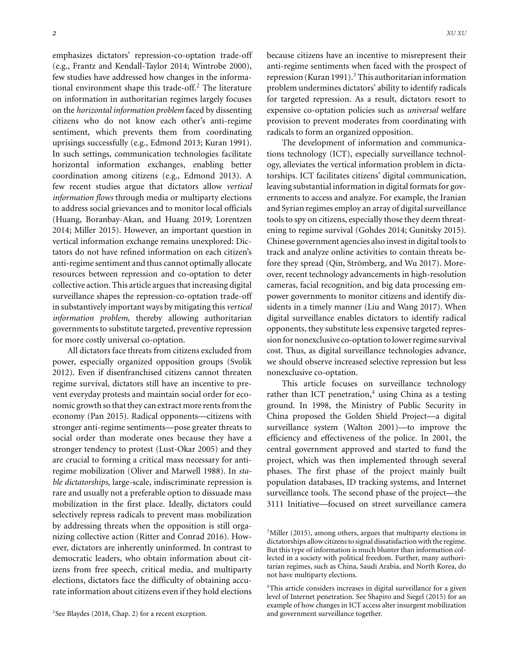emphasizes dictators' repression-co-optation trade-off (e.g., Frantz and Kendall-Taylor 2014; Wintrobe 2000), few studies have addressed how changes in the informational environment shape this trade-off. $2$  The literature on information in authoritarian regimes largely focuses on the *horizontal information problem* faced by dissenting citizens who do not know each other's anti-regime sentiment, which prevents them from coordinating uprisings successfully (e.g., Edmond 2013; Kuran 1991). In such settings, communication technologies facilitate horizontal information exchanges, enabling better coordination among citizens (e.g., Edmond 2013). A few recent studies argue that dictators allow *vertical information flows* through media or multiparty elections to address social grievances and to monitor local officials (Huang, Boranbay-Akan, and Huang 2019; Lorentzen 2014; Miller 2015). However, an important question in vertical information exchange remains unexplored: Dictators do not have refined information on each citizen's anti-regime sentiment and thus cannot optimally allocate resources between repression and co-optation to deter collective action. This article argues that increasing digital surveillance shapes the repression-co-optation trade-off in substantively important ways by mitigating this *vertical information problem*, thereby allowing authoritarian governments to substitute targeted, preventive repression for more costly universal co-optation.

All dictators face threats from citizens excluded from power, especially organized opposition groups (Svolik 2012). Even if disenfranchised citizens cannot threaten regime survival, dictators still have an incentive to prevent everyday protests and maintain social order for economic growth so that they can extract more rents from the economy (Pan 2015). Radical opponents—citizens with stronger anti-regime sentiments—pose greater threats to social order than moderate ones because they have a stronger tendency to protest (Lust-Okar 2005) and they are crucial to forming a critical mass necessary for antiregime mobilization (Oliver and Marwell 1988). In *stable dictatorships*, large-scale, indiscriminate repression is rare and usually not a preferable option to dissuade mass mobilization in the first place. Ideally, dictators could selectively repress radicals to prevent mass mobilization by addressing threats when the opposition is still organizing collective action (Ritter and Conrad 2016). However, dictators are inherently uninformed. In contrast to democratic leaders, who obtain information about citizens from free speech, critical media, and multiparty elections, dictators face the difficulty of obtaining accurate information about citizens even if they hold elections

because citizens have an incentive to misrepresent their anti-regime sentiments when faced with the prospect of repression (Kuran 1991).<sup>3</sup> This authoritarian information problem undermines dictators' ability to identify radicals for targeted repression. As a result, dictators resort to expensive co-optation policies such as *universal* welfare provision to prevent moderates from coordinating with radicals to form an organized opposition.

The development of information and communications technology (ICT), especially surveillance technology, alleviates the vertical information problem in dictatorships. ICT facilitates citizens' digital communication, leaving substantial information in digital formats for governments to access and analyze. For example, the Iranian and Syrian regimes employ an array of digital surveillance tools to spy on citizens, especially those they deem threatening to regime survival (Gohdes 2014; Gunitsky 2015). Chinese government agencies also invest in digital tools to track and analyze online activities to contain threats before they spread (Qin, Strömberg, and Wu 2017). Moreover, recent technology advancements in high-resolution cameras, facial recognition, and big data processing empower governments to monitor citizens and identify dissidents in a timely manner (Liu and Wang 2017). When digital surveillance enables dictators to identify radical opponents, they substitute less expensive targeted repression for nonexclusive co-optation to lower regime survival cost. Thus, as digital surveillance technologies advance, we should observe increased selective repression but less nonexclusive co-optation.

This article focuses on surveillance technology rather than ICT penetration, $4$  using China as a testing ground. In 1998, the Ministry of Public Security in China proposed the Golden Shield Project—a digital surveillance system (Walton 2001)—to improve the efficiency and effectiveness of the police. In 2001, the central government approved and started to fund the project, which was then implemented through several phases. The first phase of the project mainly built population databases, ID tracking systems, and Internet surveillance tools. The second phase of the project—the 3111 Initiative—focused on street surveillance camera

 $3$ Miller (2015), among others, argues that multiparty elections in dictatorships allow citizens to signal dissatisfaction with the regime. But this type of information is much blunter than information collected in a society with political freedom. Further, many authoritarian regimes, such as China, Saudi Arabia, and North Korea, do not have multiparty elections.

<sup>4</sup>This article considers increases in digital surveillance for a given level of Internet penetration. See Shapiro and Siegel (2015) for an example of how changes in ICT access alter insurgent mobilization and government surveillance together.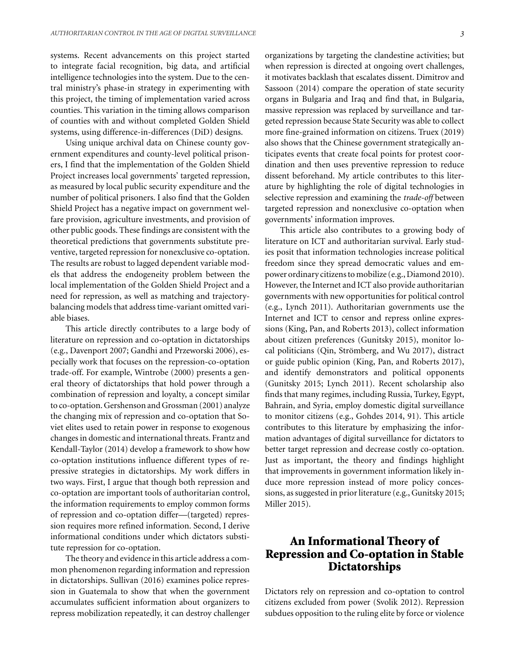systems. Recent advancements on this project started to integrate facial recognition, big data, and artificial intelligence technologies into the system. Due to the central ministry's phase-in strategy in experimenting with this project, the timing of implementation varied across counties. This variation in the timing allows comparison of counties with and without completed Golden Shield systems, using difference-in-differences (DiD) designs.

Using unique archival data on Chinese county government expenditures and county-level political prisoners, I find that the implementation of the Golden Shield Project increases local governments' targeted repression, as measured by local public security expenditure and the number of political prisoners. I also find that the Golden Shield Project has a negative impact on government welfare provision, agriculture investments, and provision of other public goods. These findings are consistent with the theoretical predictions that governments substitute preventive, targeted repression for nonexclusive co-optation. The results are robust to lagged dependent variable models that address the endogeneity problem between the local implementation of the Golden Shield Project and a need for repression, as well as matching and trajectorybalancing models that address time-variant omitted variable biases.

This article directly contributes to a large body of literature on repression and co-optation in dictatorships (e.g., Davenport 2007; Gandhi and Przeworski 2006), especially work that focuses on the repression-co-optation trade-off. For example, Wintrobe (2000) presents a general theory of dictatorships that hold power through a combination of repression and loyalty, a concept similar to co-optation. Gershenson and Grossman (2001) analyze the changing mix of repression and co-optation that Soviet elites used to retain power in response to exogenous changes in domestic and international threats. Frantz and Kendall-Taylor (2014) develop a framework to show how co-optation institutions influence different types of repressive strategies in dictatorships. My work differs in two ways. First, I argue that though both repression and co-optation are important tools of authoritarian control, the information requirements to employ common forms of repression and co-optation differ—(targeted) repression requires more refined information. Second, I derive informational conditions under which dictators substitute repression for co-optation.

The theory and evidence in this article address a common phenomenon regarding information and repression in dictatorships. Sullivan (2016) examines police repression in Guatemala to show that when the government accumulates sufficient information about organizers to repress mobilization repeatedly, it can destroy challenger organizations by targeting the clandestine activities; but when repression is directed at ongoing overt challenges, it motivates backlash that escalates dissent. Dimitrov and Sassoon (2014) compare the operation of state security organs in Bulgaria and Iraq and find that, in Bulgaria, massive repression was replaced by surveillance and targeted repression because State Security was able to collect more fine-grained information on citizens. Truex (2019) also shows that the Chinese government strategically anticipates events that create focal points for protest coordination and then uses preventive repression to reduce dissent beforehand. My article contributes to this literature by highlighting the role of digital technologies in selective repression and examining the *trade-off* between targeted repression and nonexclusive co-optation when governments' information improves.

This article also contributes to a growing body of literature on ICT and authoritarian survival. Early studies posit that information technologies increase political freedom since they spread democratic values and empower ordinary citizens to mobilize (e.g., Diamond 2010). However, the Internet and ICT also provide authoritarian governments with new opportunities for political control (e.g., Lynch 2011). Authoritarian governments use the Internet and ICT to censor and repress online expressions (King, Pan, and Roberts 2013), collect information about citizen preferences (Gunitsky 2015), monitor local politicians (Qin, Strömberg, and Wu 2017), distract or guide public opinion (King, Pan, and Roberts 2017), and identify demonstrators and political opponents (Gunitsky 2015; Lynch 2011). Recent scholarship also finds that many regimes, including Russia, Turkey, Egypt, Bahrain, and Syria, employ domestic digital surveillance to monitor citizens (e.g., Gohdes 2014, 91). This article contributes to this literature by emphasizing the information advantages of digital surveillance for dictators to better target repression and decrease costly co-optation. Just as important, the theory and findings highlight that improvements in government information likely induce more repression instead of more policy concessions, as suggested in prior literature (e.g., Gunitsky 2015; Miller 2015).

# **An Informational Theory of Repression and Co-optation in Stable Dictatorships**

Dictators rely on repression and co-optation to control citizens excluded from power (Svolik 2012). Repression subdues opposition to the ruling elite by force or violence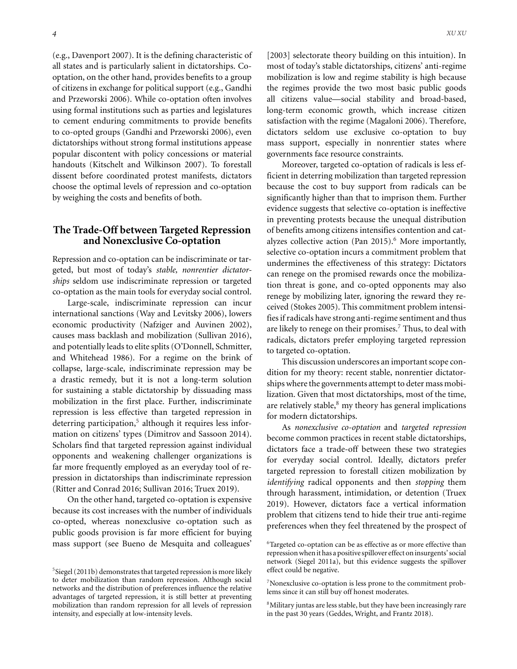(e.g., Davenport 2007). It is the defining characteristic of all states and is particularly salient in dictatorships. Cooptation, on the other hand, provides benefits to a group of citizens in exchange for political support (e.g., Gandhi and Przeworski 2006). While co-optation often involves using formal institutions such as parties and legislatures to cement enduring commitments to provide benefits to co-opted groups (Gandhi and Przeworski 2006), even dictatorships without strong formal institutions appease popular discontent with policy concessions or material handouts (Kitschelt and Wilkinson 2007). To forestall dissent before coordinated protest manifests, dictators choose the optimal levels of repression and co-optation by weighing the costs and benefits of both.

# **The Trade-Off between Targeted Repression and Nonexclusive Co-optation**

Repression and co-optation can be indiscriminate or targeted, but most of today's *stable, nonrentier dictatorships* seldom use indiscriminate repression or targeted co-optation as the main tools for everyday social control.

Large-scale, indiscriminate repression can incur international sanctions (Way and Levitsky 2006), lowers economic productivity (Nafziger and Auvinen 2002), causes mass backlash and mobilization (Sullivan 2016), and potentially leads to elite splits (O'Donnell, Schmitter, and Whitehead 1986). For a regime on the brink of collapse, large-scale, indiscriminate repression may be a drastic remedy, but it is not a long-term solution for sustaining a stable dictatorship by dissuading mass mobilization in the first place. Further, indiscriminate repression is less effective than targeted repression in deterring participation,<sup>5</sup> although it requires less information on citizens' types (Dimitrov and Sassoon 2014). Scholars find that targeted repression against individual opponents and weakening challenger organizations is far more frequently employed as an everyday tool of repression in dictatorships than indiscriminate repression (Ritter and Conrad 2016; Sullivan 2016; Truex 2019).

On the other hand, targeted co-optation is expensive because its cost increases with the number of individuals co-opted, whereas nonexclusive co-optation such as public goods provision is far more efficient for buying mass support (see Bueno de Mesquita and colleagues'

[2003] selectorate theory building on this intuition). In most of today's stable dictatorships, citizens' anti-regime mobilization is low and regime stability is high because the regimes provide the two most basic public goods all citizens value—social stability and broad-based, long-term economic growth, which increase citizen satisfaction with the regime (Magaloni 2006). Therefore, dictators seldom use exclusive co-optation to buy mass support, especially in nonrentier states where governments face resource constraints.

Moreover, targeted co-optation of radicals is less efficient in deterring mobilization than targeted repression because the cost to buy support from radicals can be significantly higher than that to imprison them. Further evidence suggests that selective co-optation is ineffective in preventing protests because the unequal distribution of benefits among citizens intensifies contention and catalyzes collective action (Pan 2015).<sup>6</sup> More importantly, selective co-optation incurs a commitment problem that undermines the effectiveness of this strategy: Dictators can renege on the promised rewards once the mobilization threat is gone, and co-opted opponents may also renege by mobilizing later, ignoring the reward they received (Stokes 2005). This commitment problem intensifies if radicals have strong anti-regime sentiment and thus are likely to renege on their promises.<sup>7</sup> Thus, to deal with radicals, dictators prefer employing targeted repression to targeted co-optation.

This discussion underscores an important scope condition for my theory: recent stable, nonrentier dictatorships where the governments attempt to deter mass mobilization. Given that most dictatorships, most of the time, are relatively stable, $8 \text{ my theory}$  has general implications for modern dictatorships.

As *nonexclusive co-optation* and *targeted repression* become common practices in recent stable dictatorships, dictators face a trade-off between these two strategies for everyday social control. Ideally, dictators prefer targeted repression to forestall citizen mobilization by *identifying* radical opponents and then *stopping* them through harassment, intimidation, or detention (Truex 2019). However, dictators face a vertical information problem that citizens tend to hide their true anti-regime preferences when they feel threatened by the prospect of

<sup>&</sup>lt;sup>5</sup>Siegel (2011b) demonstrates that targeted repression is more likely to deter mobilization than random repression. Although social networks and the distribution of preferences influence the relative advantages of targeted repression, it is still better at preventing mobilization than random repression for all levels of repression intensity, and especially at low-intensity levels.

 $6$ Targeted co-optation can be as effective as or more effective than repression when it has a positive spillover effect on insurgents' social network (Siegel 2011a), but this evidence suggests the spillover effect could be negative.

<sup>7</sup>Nonexclusive co-optation is less prone to the commitment problems since it can still buy off honest moderates.

<sup>&</sup>lt;sup>8</sup>Military juntas are less stable, but they have been increasingly rare in the past 30 years (Geddes, Wright, and Frantz 2018).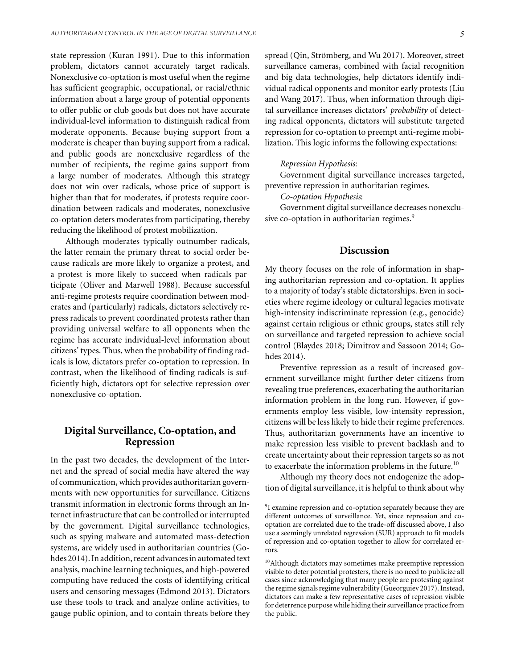state repression (Kuran 1991). Due to this information problem, dictators cannot accurately target radicals. Nonexclusive co-optation is most useful when the regime has sufficient geographic, occupational, or racial/ethnic information about a large group of potential opponents to offer public or club goods but does not have accurate individual-level information to distinguish radical from moderate opponents. Because buying support from a moderate is cheaper than buying support from a radical, and public goods are nonexclusive regardless of the number of recipients, the regime gains support from a large number of moderates. Although this strategy does not win over radicals, whose price of support is higher than that for moderates, if protests require coordination between radicals and moderates, nonexclusive co-optation deters moderates from participating, thereby reducing the likelihood of protest mobilization.

Although moderates typically outnumber radicals, the latter remain the primary threat to social order because radicals are more likely to organize a protest, and a protest is more likely to succeed when radicals participate (Oliver and Marwell 1988). Because successful anti-regime protests require coordination between moderates and (particularly) radicals, dictators selectively repress radicals to prevent coordinated protests rather than providing universal welfare to all opponents when the regime has accurate individual-level information about citizens' types. Thus, when the probability of finding radicals is low, dictators prefer co-optation to repression. In contrast, when the likelihood of finding radicals is sufficiently high, dictators opt for selective repression over nonexclusive co-optation.

# **Digital Surveillance, Co-optation, and Repression**

In the past two decades, the development of the Internet and the spread of social media have altered the way of communication, which provides authoritarian governments with new opportunities for surveillance. Citizens transmit information in electronic forms through an Internet infrastructure that can be controlled or interrupted by the government. Digital surveillance technologies, such as spying malware and automated mass-detection systems, are widely used in authoritarian countries (Gohdes 2014). In addition, recent advances in automated text analysis, machine learning techniques, and high-powered computing have reduced the costs of identifying critical users and censoring messages (Edmond 2013). Dictators use these tools to track and analyze online activities, to gauge public opinion, and to contain threats before they spread (Qin, Strömberg, and Wu 2017). Moreover, street surveillance cameras, combined with facial recognition and big data technologies, help dictators identify individual radical opponents and monitor early protests (Liu and Wang 2017). Thus, when information through digital surveillance increases dictators' *probability* of detecting radical opponents, dictators will substitute targeted repression for co-optation to preempt anti-regime mobilization. This logic informs the following expectations:

#### *Repression Hypothesis*:

Government digital surveillance increases targeted, preventive repression in authoritarian regimes.

*Co-optation Hypothesis*:

Government digital surveillance decreases nonexclusive co-optation in authoritarian regimes.<sup>9</sup>

#### **Discussion**

My theory focuses on the role of information in shaping authoritarian repression and co-optation. It applies to a majority of today's stable dictatorships. Even in societies where regime ideology or cultural legacies motivate high-intensity indiscriminate repression (e.g., genocide) against certain religious or ethnic groups, states still rely on surveillance and targeted repression to achieve social control (Blaydes 2018; Dimitrov and Sassoon 2014; Gohdes 2014).

Preventive repression as a result of increased government surveillance might further deter citizens from revealing true preferences, exacerbating the authoritarian information problem in the long run. However, if governments employ less visible, low-intensity repression, citizens will be less likely to hide their regime preferences. Thus, authoritarian governments have an incentive to make repression less visible to prevent backlash and to create uncertainty about their repression targets so as not to exacerbate the information problems in the future.<sup>10</sup>

Although my theory does not endogenize the adoption of digital surveillance, it is helpful to think about why

<sup>10</sup>Although dictators may sometimes make preemptive repression visible to deter potential protesters, there is no need to publicize all cases since acknowledging that many people are protesting against the regime signals regime vulnerability (Gueorguiev 2017). Instead, dictators can make a few representative cases of repression visible for deterrence purpose while hiding their surveillance practice from the public.

<sup>9</sup>I examine repression and co-optation separately because they are different outcomes of surveillance. Yet, since repression and cooptation are correlated due to the trade-off discussed above, I also use a seemingly unrelated regression (SUR) approach to fit models of repression and co-optation together to allow for correlated errors.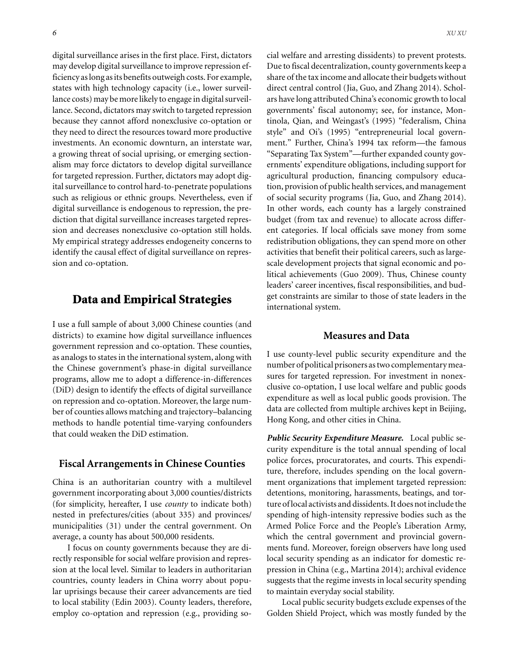digital surveillance arises in the first place. First, dictators may develop digital surveillance to improve repression efficiency as long as its benefits outweigh costs. For example, states with high technology capacity (i.e., lower surveillance costs) may be more likely to engage in digital surveillance. Second, dictators may switch to targeted repression because they cannot afford nonexclusive co-optation or they need to direct the resources toward more productive investments. An economic downturn, an interstate war, a growing threat of social uprising, or emerging sectionalism may force dictators to develop digital surveillance for targeted repression. Further, dictators may adopt digital surveillance to control hard-to-penetrate populations such as religious or ethnic groups. Nevertheless, even if digital surveillance is endogenous to repression, the prediction that digital surveillance increases targeted repression and decreases nonexclusive co-optation still holds. My empirical strategy addresses endogeneity concerns to identify the causal effect of digital surveillance on repression and co-optation.

# **Data and Empirical Strategies**

I use a full sample of about 3,000 Chinese counties (and districts) to examine how digital surveillance influences government repression and co-optation. These counties, as analogs to states in the international system, along with the Chinese government's phase-in digital surveillance programs, allow me to adopt a difference-in-differences (DiD) design to identify the effects of digital surveillance on repression and co-optation. Moreover, the large number of counties allows matching and trajectory–balancing methods to handle potential time-varying confounders that could weaken the DiD estimation.

#### **Fiscal Arrangements in Chinese Counties**

China is an authoritarian country with a multilevel government incorporating about 3,000 counties/districts (for simplicity, hereafter, I use *county* to indicate both) nested in prefectures/cities (about 335) and provinces/ municipalities (31) under the central government. On average, a county has about 500,000 residents.

I focus on county governments because they are directly responsible for social welfare provision and repression at the local level. Similar to leaders in authoritarian countries, county leaders in China worry about popular uprisings because their career advancements are tied to local stability (Edin 2003). County leaders, therefore, employ co-optation and repression (e.g., providing social welfare and arresting dissidents) to prevent protests. Due to fiscal decentralization, county governments keep a share of the tax income and allocate their budgets without direct central control (Jia, Guo, and Zhang 2014). Scholars have long attributed China's economic growth to local governments' fiscal autonomy; see, for instance, Montinola, Qian, and Weingast's (1995) "federalism, China style" and Oi's (1995) "entrepreneurial local government." Further, China's 1994 tax reform—the famous "Separating Tax System"—further expanded county governments' expenditure obligations, including support for agricultural production, financing compulsory education, provision of public health services, and management of social security programs (Jia, Guo, and Zhang 2014). In other words, each county has a largely constrained budget (from tax and revenue) to allocate across different categories. If local officials save money from some redistribution obligations, they can spend more on other activities that benefit their political careers, such as largescale development projects that signal economic and political achievements (Guo 2009). Thus, Chinese county leaders' career incentives, fiscal responsibilities, and budget constraints are similar to those of state leaders in the international system.

#### **Measures and Data**

I use county-level public security expenditure and the number of political prisoners as two complementarymeasures for targeted repression. For investment in nonexclusive co-optation, I use local welfare and public goods expenditure as well as local public goods provision. The data are collected from multiple archives kept in Beijing, Hong Kong, and other cities in China.

*Public Security Expenditure Measure.* Local public security expenditure is the total annual spending of local police forces, procuratorates, and courts. This expenditure, therefore, includes spending on the local government organizations that implement targeted repression: detentions, monitoring, harassments, beatings, and torture of local activists and dissidents. It does not include the spending of high-intensity repressive bodies such as the Armed Police Force and the People's Liberation Army, which the central government and provincial governments fund. Moreover, foreign observers have long used local security spending as an indicator for domestic repression in China (e.g., Martina 2014); archival evidence suggests that the regime invests in local security spending to maintain everyday social stability.

Local public security budgets exclude expenses of the Golden Shield Project, which was mostly funded by the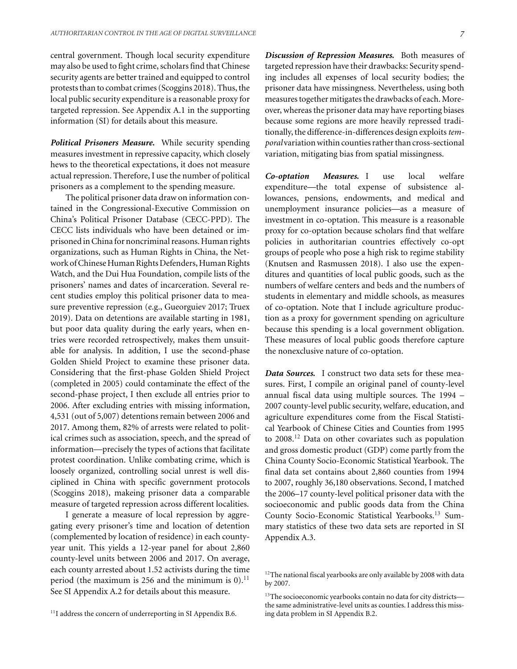central government. Though local security expenditure may also be used to fight crime, scholars find that Chinese security agents are better trained and equipped to control protests than to combat crimes (Scoggins 2018). Thus, the local public security expenditure is a reasonable proxy for targeted repression. See Appendix A.1 in the supporting information (SI) for details about this measure.

*Political Prisoners Measure.* While security spending measures investment in repressive capacity, which closely hews to the theoretical expectations, it does not measure actual repression. Therefore, I use the number of political prisoners as a complement to the spending measure.

The political prisoner data draw on information contained in the Congressional-Executive Commission on China's Political Prisoner Database (CECC-PPD). The CECC lists individuals who have been detained or imprisoned in Chinafor noncriminal reasons. Human rights organizations, such as Human Rights in China, the Network of Chinese Human Rights Defenders, Human Rights Watch, and the Dui Hua Foundation, compile lists of the prisoners' names and dates of incarceration. Several recent studies employ this political prisoner data to measure preventive repression (e.g., Gueorguiev 2017; Truex 2019). Data on detentions are available starting in 1981, but poor data quality during the early years, when entries were recorded retrospectively, makes them unsuitable for analysis. In addition, I use the second-phase Golden Shield Project to examine these prisoner data. Considering that the first-phase Golden Shield Project (completed in 2005) could contaminate the effect of the second-phase project, I then exclude all entries prior to 2006. After excluding entries with missing information, 4,531 (out of 5,007) detentions remain between 2006 and 2017. Among them, 82% of arrests were related to political crimes such as association, speech, and the spread of information—precisely the types of actions that facilitate protest coordination. Unlike combating crime, which is loosely organized, controlling social unrest is well disciplined in China with specific government protocols (Scoggins 2018), makeing prisoner data a comparable measure of targeted repression across different localities.

I generate a measure of local repression by aggregating every prisoner's time and location of detention (complemented by location of residence) in each countyyear unit. This yields a 12-year panel for about 2,860 county-level units between 2006 and 2017. On average, each county arrested about 1.52 activists during the time period (the maximum is 256 and the minimum is  $0$ ).<sup>11</sup> See SI Appendix A.2 for details about this measure.

*Discussion of Repression Measures.* Both measures of targeted repression have their drawbacks: Security spending includes all expenses of local security bodies; the prisoner data have missingness. Nevertheless, using both measures together mitigates the drawbacks of each. Moreover, whereas the prisoner data may have reporting biases because some regions are more heavily repressed traditionally, the difference-in-differences design exploits*temporal* variation within counties rather than cross-sectional variation, mitigating bias from spatial missingness.

*Co-optation Measures.* I use local welfare expenditure—the total expense of subsistence allowances, pensions, endowments, and medical and unemployment insurance policies—as a measure of investment in co-optation. This measure is a reasonable proxy for co-optation because scholars find that welfare policies in authoritarian countries effectively co-opt groups of people who pose a high risk to regime stability (Knutsen and Rasmussen 2018). I also use the expenditures and quantities of local public goods, such as the numbers of welfare centers and beds and the numbers of students in elementary and middle schools, as measures of co-optation. Note that I include agriculture production as a proxy for government spending on agriculture because this spending is a local government obligation. These measures of local public goods therefore capture the nonexclusive nature of co-optation.

*Data Sources.* I construct two data sets for these measures. First, I compile an original panel of county-level annual fiscal data using multiple sources. The 1994 – 2007 county-level public security, welfare, education, and agriculture expenditures come from the Fiscal Statistical Yearbook of Chinese Cities and Counties from 1995 to 2008.<sup>12</sup> Data on other covariates such as population and gross domestic product (GDP) come partly from the China County Socio-Economic Statistical Yearbook. The final data set contains about 2,860 counties from 1994 to 2007, roughly 36,180 observations. Second, I matched the 2006–17 county-level political prisoner data with the socioeconomic and public goods data from the China County Socio-Economic Statistical Yearbooks.<sup>13</sup> Summary statistics of these two data sets are reported in SI Appendix A.3.

<sup>&</sup>lt;sup>11</sup>I address the concern of underreporting in SI Appendix B.6.

 $12$ The national fiscal yearbooks are only available by 2008 with data by 2007.

<sup>&</sup>lt;sup>13</sup>The socioeconomic yearbooks contain no data for city districtsthe same administrative-level units as counties. I address this missing data problem in SI Appendix B.2.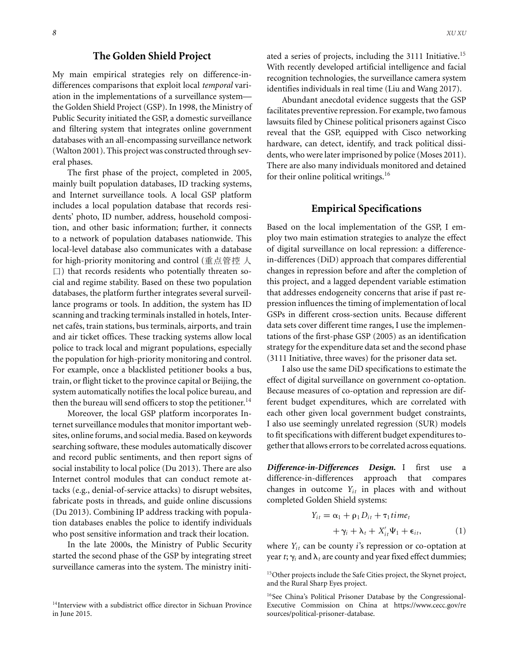#### **The Golden Shield Project**

My main empirical strategies rely on difference-indifferences comparisons that exploit local *temporal* variation in the implementations of a surveillance system the Golden Shield Project (GSP). In 1998, the Ministry of Public Security initiated the GSP, a domestic surveillance and filtering system that integrates online government databases with an all-encompassing surveillance network (Walton 2001). This project was constructed through several phases.

The first phase of the project, completed in 2005, mainly built population databases, ID tracking systems, and Internet surveillance tools. A local GSP platform includes a local population database that records residents' photo, ID number, address, household composition, and other basic information; further, it connects to a network of population databases nationwide. This local-level database also communicates with a database for high-priority monitoring and control (重点管控 人 -) that records residents who potentially threaten social and regime stability. Based on these two population databases, the platform further integrates several surveillance programs or tools. In addition, the system has ID scanning and tracking terminals installed in hotels, Internet cafes, train stations, bus terminals, airports, and train ´ and air ticket offices. These tracking systems allow local police to track local and migrant populations, especially the population for high-priority monitoring and control. For example, once a blacklisted petitioner books a bus, train, or flight ticket to the province capital or Beijing, the system automatically notifies the local police bureau, and then the bureau will send officers to stop the petitioner.<sup>14</sup>

Moreover, the local GSP platform incorporates Internet surveillance modules that monitor important websites, online forums, and social media. Based on keywords searching software, these modules automatically discover and record public sentiments, and then report signs of social instability to local police (Du 2013). There are also Internet control modules that can conduct remote attacks (e.g., denial-of-service attacks) to disrupt websites, fabricate posts in threads, and guide online discussions (Du 2013). Combining IP address tracking with population databases enables the police to identify individuals who post sensitive information and track their location.

In the late 2000s, the Ministry of Public Security started the second phase of the GSP by integrating street surveillance cameras into the system. The ministry initiated a series of projects, including the 3111 Initiative.<sup>15</sup> With recently developed artificial intelligence and facial recognition technologies, the surveillance camera system identifies individuals in real time (Liu and Wang 2017).

Abundant anecdotal evidence suggests that the GSP facilitates preventive repression. For example, two famous lawsuits filed by Chinese political prisoners against Cisco reveal that the GSP, equipped with Cisco networking hardware, can detect, identify, and track political dissidents, who were later imprisoned by police (Moses 2011). There are also many individuals monitored and detained for their online political writings.<sup>16</sup>

#### **Empirical Specifications**

Based on the local implementation of the GSP, I employ two main estimation strategies to analyze the effect of digital surveillance on local repression: a differencein-differences (DiD) approach that compares differential changes in repression before and after the completion of this project, and a lagged dependent variable estimation that addresses endogeneity concerns that arise if past repression influences the timing of implementation of local GSPs in different cross-section units. Because different data sets cover different time ranges, I use the implementations of the first-phase GSP (2005) as an identification strategy for the expenditure data set and the second phase (3111 Initiative, three waves) for the prisoner data set.

I also use the same DiD specifications to estimate the effect of digital surveillance on government co-optation. Because measures of co-optation and repression are different budget expenditures, which are correlated with each other given local government budget constraints, I also use seemingly unrelated regression (SUR) models to fit specifications with different budget expenditures together that allows errors to be correlated across equations.

*Difference-in-Differences Design.* I first use difference-in-differences approach that compares changes in outcome *Yit* in places with and without completed Golden Shield systems:

$$
Y_{it} = \alpha_1 + \rho_1 D_{it} + \tau_1 time_t
$$
  
+ 
$$
\gamma_i + \lambda_t + X'_{it} \Psi_1 + \epsilon_{it},
$$
 (1)

where *Yit* can be county *i*'s repression or co-optation at year  $t$ ;  $\gamma_i$  and  $\lambda_t$  are county and year fixed effect dummies;

<sup>&</sup>lt;sup>14</sup>Interview with a subdistrict office director in Sichuan Province in June 2015.

<sup>&</sup>lt;sup>15</sup>Other projects include the Safe Cities project, the Skynet project, and the Rural Sharp Eyes project.

<sup>&</sup>lt;sup>16</sup>See China's Political Prisoner Database by the Congressional-Executive Commission on China at [https://www.cecc.gov/re](https://www.cecc.gov/resources/political-prisoner-database) [sources/political-prisoner-database.](https://www.cecc.gov/resources/political-prisoner-database)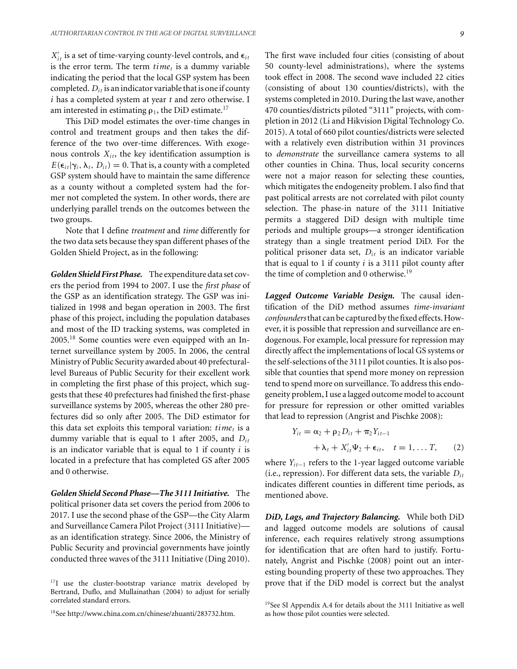$X'_{it}$  is a set of time-varying county-level controls, and  $\epsilon_{it}$ is the error term. The term  $time_t$  is a dummy variable indicating the period that the local GSP system has been completed. *Dit* is an indicator variable that is one if county *i* has a completed system at year *t* and zero otherwise. I am interested in estimating  $\rho_1$ , the DiD estimate.<sup>17</sup>

This DiD model estimates the over-time changes in control and treatment groups and then takes the difference of the two over-time differences. With exogenous controls *Xit*, the key identification assumption is  $E(\epsilon_{it}|\gamma_i, \lambda_t, D_{it}) = 0$ . That is, a county with a completed GSP system should have to maintain the same difference as a county without a completed system had the former not completed the system. In other words, there are underlying parallel trends on the outcomes between the two groups.

Note that I define *treatment* and *time* differently for the two data sets because they span different phases of the Golden Shield Project, as in the following:

*Golden Shield First Phase.* The expenditure data set covers the period from 1994 to 2007. I use the *first phase* of the GSP as an identification strategy. The GSP was initialized in 1998 and began operation in 2003. The first phase of this project, including the population databases and most of the ID tracking systems, was completed in 2005.<sup>18</sup> Some counties were even equipped with an Internet surveillance system by 2005. In 2006, the central Ministry of Public Security awarded about 40 prefecturallevel Bureaus of Public Security for their excellent work in completing the first phase of this project, which suggests that these 40 prefectures had finished the first-phase surveillance systems by 2005, whereas the other 280 prefectures did so only after 2005. The DiD estimator for this data set exploits this temporal variation:  $time<sub>t</sub>$  is a dummy variable that is equal to 1 after 2005, and *Dit* is an indicator variable that is equal to 1 if county *i* is located in a prefecture that has completed GS after 2005 and 0 otherwise.

*Golden Shield Second Phase—The 3111 Initiative.* The political prisoner data set covers the period from 2006 to 2017. I use the second phase of the GSP—the City Alarm and Surveillance Camera Pilot Project (3111 Initiative) as an identification strategy. Since 2006, the Ministry of Public Security and provincial governments have jointly conducted three waves of the 3111 Initiative (Ding 2010).

The first wave included four cities (consisting of about 50 county-level administrations), where the systems took effect in 2008. The second wave included 22 cities (consisting of about 130 counties/districts), with the systems completed in 2010. During the last wave, another 470 counties/districts piloted "3111" projects, with completion in 2012 (Li and Hikvision Digital Technology Co. 2015). A total of 660 pilot counties/districts were selected with a relatively even distribution within 31 provinces to *demonstrate* the surveillance camera systems to all other counties in China. Thus, local security concerns were not a major reason for selecting these counties, which mitigates the endogeneity problem. I also find that past political arrests are not correlated with pilot county selection. The phase-in nature of the 3111 Initiative permits a staggered DiD design with multiple time periods and multiple groups—a stronger identification strategy than a single treatment period DiD. For the political prisoner data set, *Dit* is an indicator variable that is equal to 1 if county *i* is a 3111 pilot county after the time of completion and 0 otherwise.<sup>19</sup>

*Lagged Outcome Variable Design.* The causal identification of the DiD method assumes *time-invariant confounders*that can be captured by thefixed effects. However, it is possible that repression and surveillance are endogenous. For example, local pressure for repression may directly affect the implementations of local GS systems or the self-selections of the 3111 pilot counties. It is also possible that counties that spend more money on repression tend to spend more on surveillance. To address this endogeneity problem, I use a lagged outcome model to account for pressure for repression or other omitted variables that lead to repression (Angrist and Pischke 2008):

$$
Y_{it} = \alpha_2 + \rho_2 D_{it} + \pi_2 Y_{it-1}
$$
  
+  $\lambda_t + X'_{it} \Psi_2 + \epsilon_{it}$ ,  $t = 1, \dots T$ , (2)

where *Yit*−<sup>1</sup> refers to the 1-year lagged outcome variable (i.e., repression). For different data sets, the variable *Dit* indicates different counties in different time periods, as mentioned above.

*DiD, Lags, and Trajectory Balancing.* While both DiD and lagged outcome models are solutions of causal inference, each requires relatively strong assumptions for identification that are often hard to justify. Fortunately, Angrist and Pischke (2008) point out an interesting bounding property of these two approaches. They prove that if the DiD model is correct but the analyst

<sup>&</sup>lt;sup>17</sup>I use the cluster-bootstrap variance matrix developed by Bertrand, Duflo, and Mullainathan (2004) to adjust for serially correlated standard errors.

<sup>18</sup>See [http://www.china.com.cn/chinese/zhuanti/283732.htm.](http://www.china.com.cn/chinese/zhuanti/283732.htm)

<sup>19</sup>See SI Appendix A.4 for details about the 3111 Initiative as well as how those pilot counties were selected.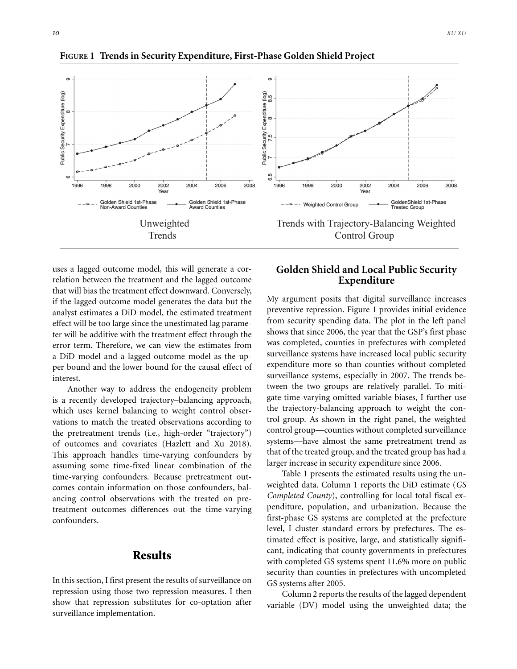

**FIGURE 1 Trends in Security Expenditure, First-Phase Golden Shield Project**

uses a lagged outcome model, this will generate a correlation between the treatment and the lagged outcome that will bias the treatment effect downward. Conversely, if the lagged outcome model generates the data but the analyst estimates a DiD model, the estimated treatment effect will be too large since the unestimated lag parameter will be additive with the treatment effect through the error term. Therefore, we can view the estimates from a DiD model and a lagged outcome model as the upper bound and the lower bound for the causal effect of interest.

Another way to address the endogeneity problem is a recently developed trajectory–balancing approach, which uses kernel balancing to weight control observations to match the treated observations according to the pretreatment trends (i.e., high-order "trajectory") of outcomes and covariates (Hazlett and Xu 2018). This approach handles time-varying confounders by assuming some time-fixed linear combination of the time-varying confounders. Because pretreatment outcomes contain information on those confounders, balancing control observations with the treated on pretreatment outcomes differences out the time-varying confounders.

# **Results**

In this section, I first present the results of surveillance on repression using those two repression measures. I then show that repression substitutes for co-optation after surveillance implementation.

# **Golden Shield and Local Public Security Expenditure**

My argument posits that digital surveillance increases preventive repression. Figure 1 provides initial evidence from security spending data. The plot in the left panel shows that since 2006, the year that the GSP's first phase was completed, counties in prefectures with completed surveillance systems have increased local public security expenditure more so than counties without completed surveillance systems, especially in 2007. The trends between the two groups are relatively parallel. To mitigate time-varying omitted variable biases, I further use the trajectory-balancing approach to weight the control group. As shown in the right panel, the weighted control group—counties without completed surveillance systems—have almost the same pretreatment trend as that of the treated group, and the treated group has had a larger increase in security expenditure since 2006.

Table 1 presents the estimated results using the unweighted data. Column 1 reports the DiD estimate (*GS Completed County*), controlling for local total fiscal expenditure, population, and urbanization. Because the first-phase GS systems are completed at the prefecture level, I cluster standard errors by prefectures. The estimated effect is positive, large, and statistically significant, indicating that county governments in prefectures with completed GS systems spent 11.6% more on public security than counties in prefectures with uncompleted GS systems after 2005.

Column 2 reports the results of the lagged dependent variable (DV) model using the unweighted data; the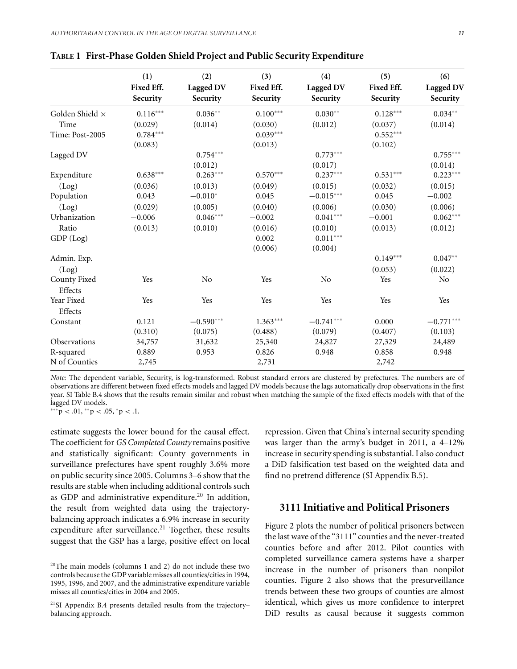|                        | (1)                    | (2)                          | (3)                    | (4)                   | (5)                    | (6)                   |
|------------------------|------------------------|------------------------------|------------------------|-----------------------|------------------------|-----------------------|
|                        | Fixed Eff.<br>Security | <b>Lagged DV</b><br>Security | Fixed Eff.<br>Security | Lagged DV<br>Security | Fixed Eff.<br>Security | Lagged DV<br>Security |
| Golden Shield $\times$ | $0.116***$             | $0.036**$                    | $0.100***$             | $0.030**$             | $0.128***$             | $0.034**$             |
| Time                   | (0.029)                | (0.014)                      | (0.030)                | (0.012)               | (0.037)                | (0.014)               |
| Time: Post-2005        | $0.784***$             |                              | $0.039***$             |                       | $0.552***$             |                       |
|                        | (0.083)                |                              | (0.013)                |                       | (0.102)                |                       |
| Lagged DV              |                        | $0.754^{\ast\ast\ast}$       |                        | $0.773***$            |                        | $0.755***$            |
|                        |                        | (0.012)                      |                        | (0.017)               |                        | (0.014)               |
| Expenditure            | $0.638***$             | $0.263***$                   | $0.570***$             | $0.237***$            | $0.531***$             | $0.223***$            |
| (Log)                  | (0.036)                | (0.013)                      | (0.049)                | (0.015)               | (0.032)                | (0.015)               |
| Population             | 0.043                  | $-0.010*$                    | 0.045                  | $-0.015***$           | 0.045                  | $-0.002$              |
| (Log)                  | (0.029)                | (0.005)                      | (0.040)                | (0.006)               | (0.030)                | (0.006)               |
| Urbanization           | $-0.006$               | $0.046***$                   | $-0.002$               | $0.041***$            | $-0.001$               | $0.062***$            |
| Ratio                  | (0.013)                | (0.010)                      | (0.016)                | (0.010)               | (0.013)                | (0.012)               |
| GDP (Log)              |                        |                              | 0.002                  | $0.011***$            |                        |                       |
|                        |                        |                              | (0.006)                | (0.004)               |                        |                       |
| Admin. Exp.            |                        |                              |                        |                       | $0.149***$             | $0.047**$             |
| (Log)                  |                        |                              |                        |                       | (0.053)                | (0.022)               |
| County Fixed           | Yes                    | No                           | Yes                    | No                    | Yes                    | No                    |
| Effects                |                        |                              |                        |                       |                        |                       |
| Year Fixed             | Yes                    | Yes                          | Yes                    | Yes                   | Yes                    | Yes                   |
| Effects                |                        |                              |                        |                       |                        |                       |
| Constant               | 0.121                  | $-0.590***$                  | $1.363***$             | $-0.741***$           | 0.000                  | $-0.771***$           |
|                        | (0.310)                | (0.075)                      | (0.488)                | (0.079)               | (0.407)                | (0.103)               |
| <b>Observations</b>    | 34,757                 | 31,632                       | 25,340                 | 24,827                | 27,329                 | 24,489                |
| R-squared              | 0.889                  | 0.953                        | 0.826                  | 0.948                 | 0.858                  | 0.948                 |
| N of Counties          | 2,745                  |                              | 2,731                  |                       | 2,742                  |                       |

| TABLE 1 First-Phase Golden Shield Project and Public Security Expenditure |  |  |
|---------------------------------------------------------------------------|--|--|
|---------------------------------------------------------------------------|--|--|

*Note*: The dependent variable, Security, is log-transformed. Robust standard errors are clustered by prefectures. The numbers are of observations are different between fixed effects models and lagged DV models because the lags automatically drop observations in the first year. SI Table B.4 shows that the results remain similar and robust when matching the sample of the fixed effects models with that of the lagged DV models.

∗∗∗p < .01, ∗∗p < .05, <sup>∗</sup>p < .1.

estimate suggests the lower bound for the causal effect. The coefficient for *GS Completed County* remains positive and statistically significant: County governments in surveillance prefectures have spent roughly 3.6% more on public security since 2005. Columns 3–6 show that the results are stable when including additional controls such as GDP and administrative expenditure.<sup>20</sup> In addition, the result from weighted data using the trajectorybalancing approach indicates a 6.9% increase in security expenditure after surveillance.<sup>21</sup> Together, these results suggest that the GSP has a large, positive effect on local

repression. Given that China's internal security spending was larger than the army's budget in 2011, a 4–12% increase in security spending is substantial. I also conduct a DiD falsification test based on the weighted data and find no pretrend difference (SI Appendix B.5).

# **3111 Initiative and Political Prisoners**

Figure 2 plots the number of political prisoners between the last wave of the "3111" counties and the never-treated counties before and after 2012. Pilot counties with completed surveillance camera systems have a sharper increase in the number of prisoners than nonpilot counties. Figure 2 also shows that the presurveillance trends between these two groups of counties are almost identical, which gives us more confidence to interpret DiD results as causal because it suggests common

<sup>20</sup>The main models (columns 1 and 2) do not include these two controls because the GDP variable misses all counties/cities in 1994, 1995, 1996, and 2007, and the administrative expenditure variable misses all counties/cities in 2004 and 2005.

<sup>21</sup>SI Appendix B.4 presents detailed results from the trajectory– balancing approach.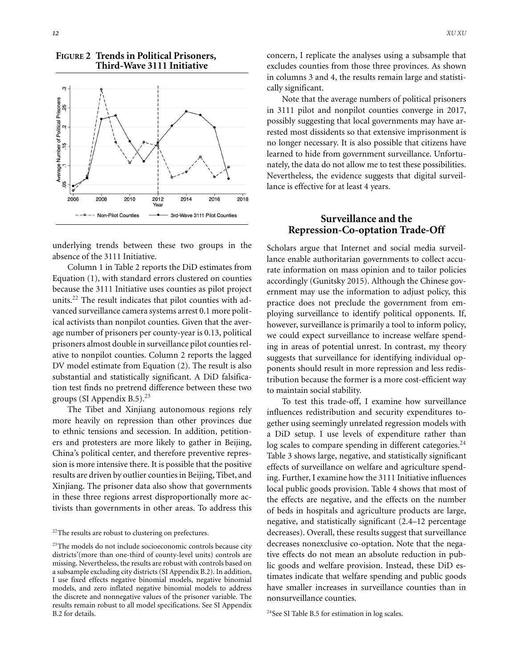



underlying trends between these two groups in the absence of the 3111 Initiative.

Column 1 in Table 2 reports the DiD estimates from Equation (1), with standard errors clustered on counties because the 3111 Initiative uses counties as pilot project units.<sup>22</sup> The result indicates that pilot counties with advanced surveillance camera systems arrest 0.1 more political activists than nonpilot counties. Given that the average number of prisoners per county-year is 0.13, political prisoners almost double in surveillance pilot counties relative to nonpilot counties. Column 2 reports the lagged DV model estimate from Equation (2). The result is also substantial and statistically significant. A DiD falsification test finds no pretrend difference between these two groups (SI Appendix B.5). $^{23}$ 

The Tibet and Xinjiang autonomous regions rely more heavily on repression than other provinces due to ethnic tensions and secession. In addition, petitioners and protesters are more likely to gather in Beijing, China's political center, and therefore preventive repression is more intensive there. It is possible that the positive results are driven by outlier counties in Beijing, Tibet, and Xinjiang. The prisoner data also show that governments in these three regions arrest disproportionally more activists than governments in other areas. To address this

<sup>22</sup>The results are robust to clustering on prefectures.

concern, I replicate the analyses using a subsample that excludes counties from those three provinces. As shown in columns 3 and 4, the results remain large and statistically significant.

Note that the average numbers of political prisoners in 3111 pilot and nonpilot counties converge in 2017, possibly suggesting that local governments may have arrested most dissidents so that extensive imprisonment is no longer necessary. It is also possible that citizens have learned to hide from government surveillance. Unfortunately, the data do not allow me to test these possibilities. Nevertheless, the evidence suggests that digital surveillance is effective for at least 4 years.

# **Surveillance and the Repression-Co-optation Trade-Off**

Scholars argue that Internet and social media surveillance enable authoritarian governments to collect accurate information on mass opinion and to tailor policies accordingly (Gunitsky 2015). Although the Chinese government may use the information to adjust policy, this practice does not preclude the government from employing surveillance to identify political opponents. If, however, surveillance is primarily a tool to inform policy, we could expect surveillance to increase welfare spending in areas of potential unrest. In contrast, my theory suggests that surveillance for identifying individual opponents should result in more repression and less redistribution because the former is a more cost-efficient way to maintain social stability.

To test this trade-off, I examine how surveillance influences redistribution and security expenditures together using seemingly unrelated regression models with a DiD setup. I use levels of expenditure rather than log scales to compare spending in different categories.<sup>24</sup> Table 3 shows large, negative, and statistically significant effects of surveillance on welfare and agriculture spending. Further, I examine how the 3111 Initiative influences local public goods provision. Table 4 shows that most of the effects are negative, and the effects on the number of beds in hospitals and agriculture products are large, negative, and statistically significant (2.4–12 percentage decreases). Overall, these results suggest that surveillance decreases nonexclusive co-optation. Note that the negative effects do not mean an absolute reduction in public goods and welfare provision. Instead, these DiD estimates indicate that welfare spending and public goods have smaller increases in surveillance counties than in nonsurveillance counties.

<sup>24</sup>See SI Table B.5 for estimation in log scales.

<sup>&</sup>lt;sup>23</sup>The models do not include socioeconomic controls because city districts'(more than one-third of county-level units) controls are missing. Nevertheless, the results are robust with controls based on a subsample excluding city districts (SI Appendix B.2). In addition, I use fixed effects negative binomial models, negative binomial models, and zero inflated negative binomial models to address the discrete and nonnegative values of the prisoner variable. The results remain robust to all model specifications. See SI Appendix B.2 for details.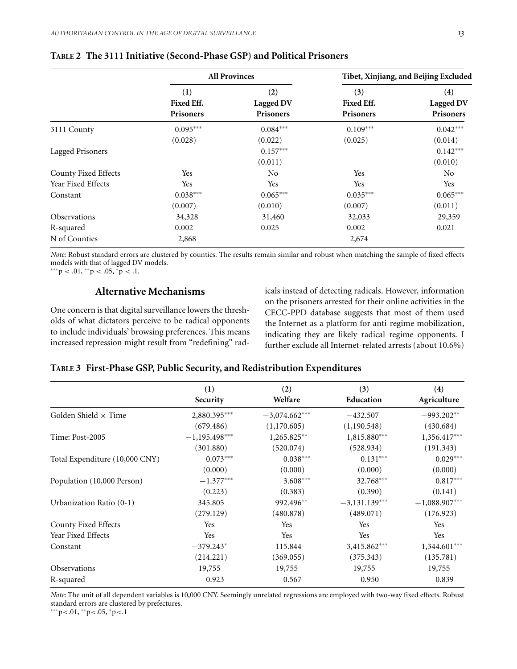|                           | <b>All Provinces</b>                               |                                      | Tibet, Xinjiang, and Beijing Excluded |                                      |
|---------------------------|----------------------------------------------------|--------------------------------------|---------------------------------------|--------------------------------------|
|                           | $\left(1\right)$<br>Fixed Eff.<br><b>Prisoners</b> | (2)<br>Lagged DV<br><b>Prisoners</b> | (3)<br>Fixed Eff.<br><b>Prisoners</b> | (4)<br>Lagged DV<br><b>Prisoners</b> |
| 3111 County               | $0.095***$                                         | $0.084***$                           | $0.109***$                            | $0.042***$                           |
|                           | (0.028)                                            | (0.022)                              | (0.025)                               | (0.014)                              |
| <b>Lagged Prisoners</b>   |                                                    | $0.157***$                           |                                       | $0.142***$                           |
|                           |                                                    | (0.011)                              |                                       | (0.010)                              |
| County Fixed Effects      | Yes                                                | N <sub>o</sub>                       | Yes                                   | N <sub>0</sub>                       |
| <b>Year Fixed Effects</b> | Yes                                                | <b>Yes</b>                           | Yes                                   | Yes                                  |
| Constant                  | $0.038***$                                         | $0.065***$                           | $0.035***$                            | $0.065***$                           |
|                           | (0.007)                                            | (0.010)                              | (0.007)                               | (0.011)                              |
| <b>Observations</b>       | 34,328                                             | 31,460                               | 32,033                                | 29,359                               |
| R-squared                 | 0.002                                              | 0.025                                | 0.002                                 | 0.021                                |
| N of Counties             | 2,868                                              |                                      | 2,674                                 |                                      |

*Note*: Robust standard errors are clustered by counties. The results remain similar and robust when matching the sample of fixed effects models with that of lagged DV models.

∗∗∗p < .01, ∗∗p < .05, <sup>∗</sup>p < .1.

# **Alternative Mechanisms**

One concern is that digital surveillance lowers the thresholds of what dictators perceive to be radical opponents to include individuals' browsing preferences. This means increased repression might result from "redefining" radicals instead of detecting radicals. However, information on the prisoners arrested for their online activities in the CECC-PPD database suggests that most of them used the Internet as a platform for anti-regime mobilization, indicating they are likely radical regime opponents. I further exclude all Internet-related arrests (about 10.6%)

| TABLE 3 First-Phase GSP, Public Security, and Redistribution Expenditures |
|---------------------------------------------------------------------------|
|---------------------------------------------------------------------------|

|                                | (1)             | (2)             | (3)             | (4)             |
|--------------------------------|-----------------|-----------------|-----------------|-----------------|
|                                | Security        | Welfare         | Education       | Agriculture     |
| Golden Shield $\times$ Time    | 2,880.395***    | $-3,074.662***$ | $-432.507$      | $-993.202**$    |
|                                | (679.486)       | (1,170.605)     | (1,190.548)     | (430.684)       |
| Time: Post-2005                | $-1,195.498***$ | $1,265.825**$   | $1,815.880***$  | $1,356.417***$  |
|                                | (301.880)       | (520.074)       | (528.934)       | (191.343)       |
| Total Expenditure (10,000 CNY) | $0.073***$      | $0.038***$      | $0.131***$      | $0.029***$      |
|                                | (0.000)         | (0.000)         | (0.000)         | (0.000)         |
| Population (10,000 Person)     | $-1.377***$     | $3.608***$      | 32.768***       | $0.817***$      |
|                                | (0.223)         | (0.383)         | (0.390)         | (0.141)         |
| Urbanization Ratio (0-1)       | 345.805         | 992.496**       | $-3,131.139***$ | $-1,088.907***$ |
|                                | (279.129)       | (480.878)       | (489.071)       | (176.923)       |
| County Fixed Effects           | Yes             | <b>Yes</b>      | Yes             | Yes             |
| Year Fixed Effects             | Yes             | <b>Yes</b>      | Yes             | Yes             |
| Constant                       | $-379.243*$     | 115.844         | 3,415.862***    | $1,344.601***$  |
|                                | (214.221)       | (369.055)       | (375.343)       | (135.781)       |
| <b>Observations</b>            | 19,755          | 19,755          | 19,755          | 19,755          |
| R-squared                      | 0.923           | 0.567           | 0.950           | 0.839           |

*Note*: The unit of all dependent variables is 10,000 CNY. Seemingly unrelated regressions are employed with two-way fixed effects. Robust standard errors are clustered by prefectures.

∗∗∗p<.01, ∗∗p<.05, <sup>∗</sup>p<.1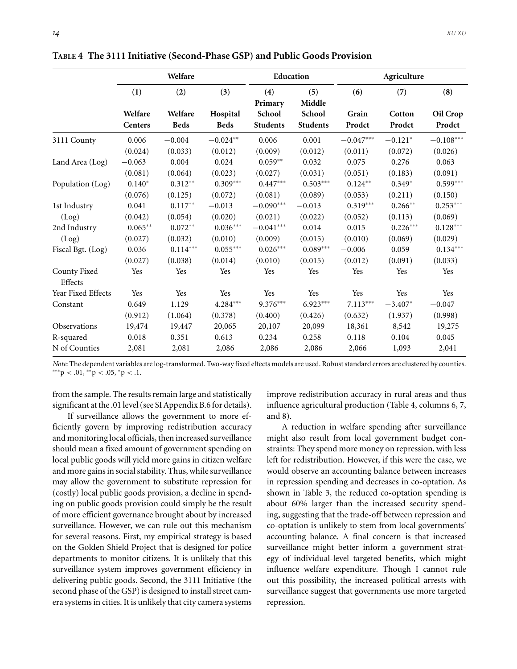|                         | Welfare                   |                        |                         | Education                 |                           | Agriculture     |                  |                         |
|-------------------------|---------------------------|------------------------|-------------------------|---------------------------|---------------------------|-----------------|------------------|-------------------------|
|                         | (1)                       | (2)                    | (3)                     | (4)<br>Primary            | (5)<br>Middle             | (6)             | (7)              | (8)                     |
|                         | Welfare<br><b>Centers</b> | Welfare<br><b>Beds</b> | Hospital<br><b>Beds</b> | School<br><b>Students</b> | School<br><b>Students</b> | Grain<br>Prodct | Cotton<br>Prodct | Oil Crop<br>Prodct      |
| 3111 County             | 0.006                     | $-0.004$               | $-0.024**$              | 0.006                     | 0.001                     | $-0.047***$     | $-0.121*$        | $-0.108^{\ast\ast\ast}$ |
|                         | (0.024)                   | (0.033)                | (0.012)                 | (0.009)                   | (0.012)                   | (0.011)         | (0.072)          | (0.026)                 |
| Land Area (Log)         | $-0.063$                  | 0.004                  | 0.024                   | $0.059**$                 | 0.032                     | 0.075           | 0.276            | 0.063                   |
|                         | (0.081)                   | (0.064)                | (0.023)                 | (0.027)                   | (0.031)                   | (0.051)         | (0.183)          | (0.091)                 |
| Population (Log)        | $0.140*$                  | $0.312**$              | $0.309***$              | $0.447***$                | $0.503***$                | $0.124**$       | $0.349*$         | $0.599***$              |
|                         | (0.076)                   | (0.125)                | (0.072)                 | (0.081)                   | (0.089)                   | (0.053)         | (0.211)          | (0.150)                 |
| 1st Industry            | 0.041                     | $0.117**$              | $-0.013$                | $-0.090***$               | $-0.013$                  | $0.319***$      | $0.266**$        | $0.253***$              |
| (Log)                   | (0.042)                   | (0.054)                | (0.020)                 | (0.021)                   | (0.022)                   | (0.052)         | (0.113)          | (0.069)                 |
| 2nd Industry            | $0.065***$                | $0.072**$              | $0.036***$              | $-0.041^{***}\,$          | 0.014                     | 0.015           | $0.226***$       | $0.128***$              |
| (Log)                   | (0.027)                   | (0.032)                | (0.010)                 | (0.009)                   | (0.015)                   | (0.010)         | (0.069)          | (0.029)                 |
| Fiscal Bgt. (Log)       | 0.036                     | $0.114***$             | $0.055***$              | $0.026***$                | $0.089***$                | $-0.006$        | 0.059            | $0.134***$              |
|                         | (0.027)                   | (0.038)                | (0.014)                 | (0.010)                   | (0.015)                   | (0.012)         | (0.091)          | (0.033)                 |
| County Fixed<br>Effects | Yes                       | Yes                    | Yes                     | Yes                       | Yes                       | Yes             | Yes              | Yes                     |
| Year Fixed Effects      | Yes                       | Yes                    | Yes                     | Yes                       | Yes                       | Yes             | Yes              | Yes                     |
| Constant                | 0.649                     | 1.129                  | 4.284***                | 9.376***                  | $6.923***$                | $7.113***$      | $-3.407*$        | $-0.047$                |
|                         | (0.912)                   | (1.064)                | (0.378)                 | (0.400)                   | (0.426)                   | (0.632)         | (1.937)          | (0.998)                 |
| Observations            | 19,474                    | 19,447                 | 20,065                  | 20,107                    | 20,099                    | 18,361          | 8,542            | 19,275                  |
| R-squared               | 0.018                     | 0.351                  | 0.613                   | 0.234                     | 0.258                     | 0.118           | 0.104            | 0.045                   |
| N of Counties           | 2,081                     | 2,081                  | 2,086                   | 2,086                     | 2,086                     | 2,066           | 1,093            | 2,041                   |

**TABLE 4 The 3111 Initiative (Second-Phase GSP) and Public Goods Provision**

*Note*: The dependent variables are log-transformed. Two-way fixed effects models are used. Robust standard errors are clustered by counties. ∗∗∗p < .01, ∗∗p < .05, <sup>∗</sup>p < .1.

from the sample. The results remain large and statistically significant at the .01 level (see SI Appendix B.6 for details).

If surveillance allows the government to more efficiently govern by improving redistribution accuracy and monitoring local officials, then increased surveillance should mean a fixed amount of government spending on local public goods will yield more gains in citizen welfare and more gains in social stability. Thus, while surveillance may allow the government to substitute repression for (costly) local public goods provision, a decline in spending on public goods provision could simply be the result of more efficient governance brought about by increased surveillance. However, we can rule out this mechanism for several reasons. First, my empirical strategy is based on the Golden Shield Project that is designed for police departments to monitor citizens. It is unlikely that this surveillance system improves government efficiency in delivering public goods. Second, the 3111 Initiative (the second phase of the GSP) is designed to install street camera systems in cities. It is unlikely that city camera systems

improve redistribution accuracy in rural areas and thus influence agricultural production (Table 4, columns 6, 7, and 8).

A reduction in welfare spending after surveillance might also result from local government budget constraints: They spend more money on repression, with less left for redistribution. However, if this were the case, we would observe an accounting balance between increases in repression spending and decreases in co-optation. As shown in Table 3, the reduced co-optation spending is about 60% larger than the increased security spending, suggesting that the trade-off between repression and co-optation is unlikely to stem from local governments' accounting balance. A final concern is that increased surveillance might better inform a government strategy of individual-level targeted benefits, which might influence welfare expenditure. Though I cannot rule out this possibility, the increased political arrests with surveillance suggest that governments use more targeted repression.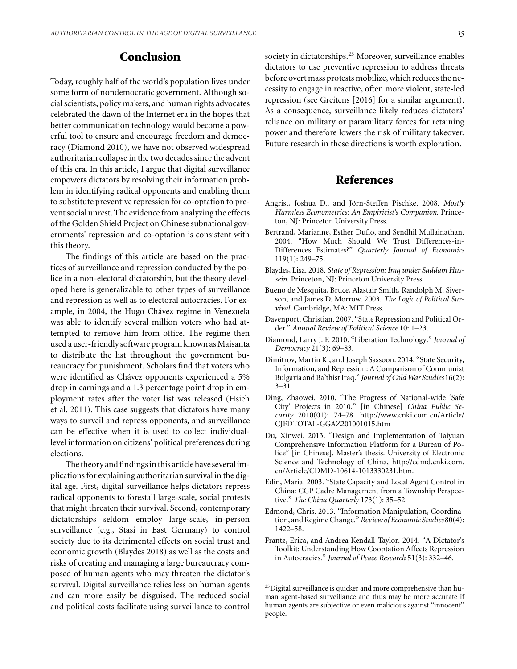# **Conclusion**

Today, roughly half of the world's population lives under some form of nondemocratic government. Although social scientists, policy makers, and human rights advocates celebrated the dawn of the Internet era in the hopes that better communication technology would become a powerful tool to ensure and encourage freedom and democracy (Diamond 2010), we have not observed widespread authoritarian collapse in the two decades since the advent of this era. In this article, I argue that digital surveillance empowers dictators by resolving their information problem in identifying radical opponents and enabling them to substitute preventive repression for co-optation to prevent social unrest. The evidence from analyzing the effects of the Golden Shield Project on Chinese subnational governments' repression and co-optation is consistent with this theory.

The findings of this article are based on the practices of surveillance and repression conducted by the police in a non-electoral dictatorship, but the theory developed here is generalizable to other types of surveillance and repression as well as to electoral autocracies. For example, in 2004, the Hugo Chávez regime in Venezuela was able to identify several million voters who had attempted to remove him from office. The regime then used a user-friendly software program known as Maisanta to distribute the list throughout the government bureaucracy for punishment. Scholars find that voters who were identified as Chávez opponents experienced a 5% drop in earnings and a 1.3 percentage point drop in employment rates after the voter list was released (Hsieh et al. 2011). This case suggests that dictators have many ways to surveil and repress opponents, and surveillance can be effective when it is used to collect individuallevel information on citizens' political preferences during elections.

The theory and findings in this article have several implications for explaining authoritarian survival in the digital age. First, digital surveillance helps dictators repress radical opponents to forestall large-scale, social protests that might threaten their survival. Second, contemporary dictatorships seldom employ large-scale, in-person surveillance (e.g., Stasi in East Germany) to control society due to its detrimental effects on social trust and economic growth (Blaydes 2018) as well as the costs and risks of creating and managing a large bureaucracy composed of human agents who may threaten the dictator's survival. Digital surveillance relies less on human agents and can more easily be disguised. The reduced social and political costs facilitate using surveillance to control society in dictatorships.<sup>25</sup> Moreover, surveillance enables dictators to use preventive repression to address threats before overt mass protests mobilize, which reduces the necessity to engage in reactive, often more violent, state-led repression (see Greitens [2016] for a similar argument). As a consequence, surveillance likely reduces dictators' reliance on military or paramilitary forces for retaining power and therefore lowers the risk of military takeover. Future research in these directions is worth exploration.

# **References**

- Angrist, Joshua D., and Jörn-Steffen Pischke. 2008. Mostly *Harmless Econometrics: An Empiricist's Companion*. Princeton, NJ: Princeton University Press.
- Bertrand, Marianne, Esther Duflo, and Sendhil Mullainathan. 2004. "How Much Should We Trust Differences-in-Differences Estimates?" *Quarterly Journal of Economics* 119(1): 249–75.
- Blaydes, Lisa. 2018. *State of Repression: Iraq under Saddam Hussein*. Princeton, NJ: Princeton University Press.
- Bueno de Mesquita, Bruce, Alastair Smith, Randolph M. Siverson, and James D. Morrow. 2003. *The Logic of Political Survival*. Cambridge, MA: MIT Press.
- Davenport, Christian. 2007. "State Repression and Political Order." *Annual Review of Political Science* 10: 1–23.
- Diamond, Larry J. F. 2010. "Liberation Technology." *Journal of Democracy* 21(3): 69–83.
- Dimitrov, Martin K., and Joseph Sassoon. 2014. "State Security, Information, and Repression: A Comparison of Communist Bulgaria and Ba'thist Iraq." *Journal of ColdWar Studies* 16(2): 3–31.
- Ding, Zhaowei. 2010. "The Progress of National-wide 'Safe City' Projects in 2010." [in Chinese] *China Public Security* 2010(01): 74–78. [http://www.cnki.com.cn/Article/](http://www.cnki.com.cn/Article/CJFDTOTAL-GGAZ201001015.htm) [CJFDTOTAL-GGAZ201001015.htm](http://www.cnki.com.cn/Article/CJFDTOTAL-GGAZ201001015.htm)
- Du, Xinwei. 2013. "Design and Implementation of Taiyuan Comprehensive Information Platform for a Bureau of Police" [in Chinese]. Master's thesis. University of Electronic Science and Technology of China, [http://cdmd.cnki.com.](http://cdmd.cnki.com.cn/Article/CDMD-10614-1013330231.htm) [cn/Article/CDMD-10614-1013330231.htm.](http://cdmd.cnki.com.cn/Article/CDMD-10614-1013330231.htm)
- Edin, Maria. 2003. "State Capacity and Local Agent Control in China: CCP Cadre Management from a Township Perspective." *The China Quarterly* 173(1): 35–52.
- Edmond, Chris. 2013. "Information Manipulation, Coordination, and Regime Change."*Review of Economic Studies* 80(4): 1422–58.
- Frantz, Erica, and Andrea Kendall-Taylor. 2014. "A Dictator's Toolkit: Understanding How Cooptation Affects Repression in Autocracies." *Journal of Peace Research* 51(3): 332–46.

<sup>&</sup>lt;sup>25</sup>Digital surveillance is quicker and more comprehensive than human agent-based surveillance and thus may be more accurate if human agents are subjective or even malicious against "innocent" people.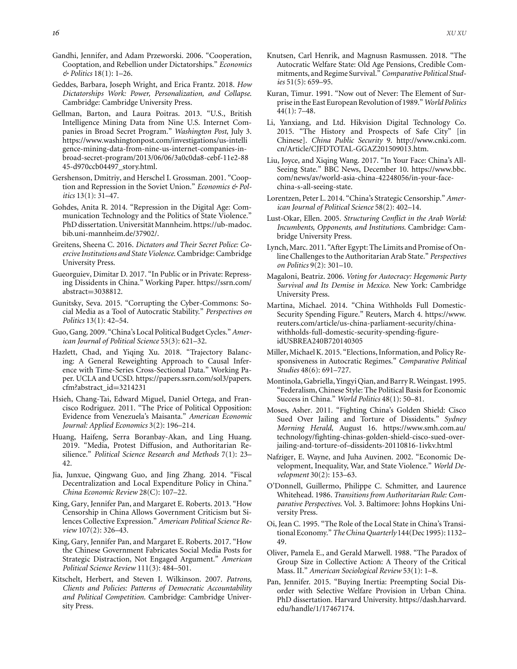- Gandhi, Jennifer, and Adam Przeworski. 2006. "Cooperation, Cooptation, and Rebellion under Dictatorships." *Economics & Politics* 18(1): 1–26.
- Geddes, Barbara, Joseph Wright, and Erica Frantz. 2018. *How Dictatorships Work: Power, Personalization, and Collapse*. Cambridge: Cambridge University Press.
- Gellman, Barton, and Laura Poitras. 2013. "U.S., British Intelligence Mining Data from Nine U.S. Internet Companies in Broad Secret Program." *Washington Post*, July 3. [https://www.washingtonpost.com/investigations/us-intelli](https://www.washingtonpost.com/investigations/us-intelligence-mining-data-from-nine-us-internet-companies-in-broad-secret-program/2013/06/06/3a0c0da8-cebf-11e2-8845-d970ccb04497_story.html) [gence-mining-data-from-nine-us-internet-companies-in](https://www.washingtonpost.com/investigations/us-intelligence-mining-data-from-nine-us-internet-companies-in-broad-secret-program/2013/06/06/3a0c0da8-cebf-11e2-8845-d970ccb04497_story.html)[broad-secret-program/2013/06/06/3a0c0da8-cebf-11e2-88](https://www.washingtonpost.com/investigations/us-intelligence-mining-data-from-nine-us-internet-companies-in-broad-secret-program/2013/06/06/3a0c0da8-cebf-11e2-8845-d970ccb04497_story.html) [45-d970ccb04497\\_story.html.](https://www.washingtonpost.com/investigations/us-intelligence-mining-data-from-nine-us-internet-companies-in-broad-secret-program/2013/06/06/3a0c0da8-cebf-11e2-8845-d970ccb04497_story.html)
- Gershenson, Dmitriy, and Herschel I. Grossman. 2001. "Cooption and Repression in the Soviet Union." *Economics & Politics* 13(1): 31–47.
- Gohdes, Anita R. 2014. "Repression in the Digital Age: Communication Technology and the Politics of State Violence." PhD dissertation. Universität Mannheim. [https://ub-madoc.](https://ub-madoc.bib.uni-mannheim.de/37902/) [bib.uni-mannheim.de/37902/.](https://ub-madoc.bib.uni-mannheim.de/37902/)
- Greitens, Sheena C. 2016. *Dictators and Their Secret Police: Coercive Institutions and State Violence*. Cambridge: Cambridge University Press.
- Gueorguiev, Dimitar D. 2017. "In Public or in Private: Repressing Dissidents in China." Working Paper. [https://ssrn.com/](https://ssrn.com/abstract=3038812) abstract=[3038812.](https://ssrn.com/abstract=3038812)
- Gunitsky, Seva. 2015. "Corrupting the Cyber-Commons: Social Media as a Tool of Autocratic Stability." *Perspectives on Politics* 13(1): 42–54.
- Guo, Gang. 2009. "China's Local Political Budget Cycles."*American Journal of Political Science* 53(3): 621–32.
- Hazlett, Chad, and Yiqing Xu. 2018. "Trajectory Balancing: A General Reweighting Approach to Causal Inference with Time-Series Cross-Sectional Data." Working Paper. UCLA and UCSD. [https://papers.ssrn.com/sol3/papers.](https://papers.ssrn.com/sol3/papers.cfm?abstract_id=3214231) [cfm?abstract\\_id](https://papers.ssrn.com/sol3/papers.cfm?abstract_id=3214231)=3214231
- Hsieh, Chang-Tai, Edward Miguel, Daniel Ortega, and Francisco Rodriguez. 2011. "The Price of Political Opposition: Evidence from Venezuela's Maisanta." *American Economic Journal: Applied Economics* 3(2): 196–214.
- Huang, Haifeng, Serra Boranbay-Akan, and Ling Huang. 2019. "Media, Protest Diffusion, and Authoritarian Resilience." *Political Science Research and Methods* 7(1): 23– 42.
- Jia, Junxue, Qingwang Guo, and Jing Zhang. 2014. "Fiscal Decentralization and Local Expenditure Policy in China." *China Economic Review* 28(C): 107–22.
- King, Gary, Jennifer Pan, and Margaret E. Roberts. 2013. "How Censorship in China Allows Government Criticism but Silences Collective Expression." *American Political Science Review* 107(2): 326–43.
- King, Gary, Jennifer Pan, and Margaret E. Roberts. 2017. "How the Chinese Government Fabricates Social Media Posts for Strategic Distraction, Not Engaged Argument." *American Political Science Review* 111(3): 484–501.
- Kitschelt, Herbert, and Steven I. Wilkinson. 2007. *Patrons, Clients and Policies: Patterns of Democratic Accountability and Political Competition*. Cambridge: Cambridge University Press.
- Knutsen, Carl Henrik, and Magnusn Rasmussen. 2018. "The Autocratic Welfare State: Old Age Pensions, Credible Commitments, and Regime Survival."*Comparative Political Studies* 51(5): 659–95.
- Kuran, Timur. 1991. "Now out of Never: The Element of Surprise in the East European Revolution of 1989."*World Politics* 44(1): 7–48.
- Li, Yanxiang, and Ltd. Hikvision Digital Technology Co. 2015. "The History and Prospects of Safe City" [in Chinese]. *China Public Security* 9. [http://www.cnki.com.](http://www.cnki.com.cn/Article/CJFDTOTAL-GGAZ201509013.htm) [cn/Article/CJFDTOTAL-GGAZ201509013.htm.](http://www.cnki.com.cn/Article/CJFDTOTAL-GGAZ201509013.htm)
- Liu, Joyce, and Xiqing Wang. 2017. "In Your Face: China's All-Seeing State." BBC News, December 10. [https://www.bbc.](https://www.bbc.com/news/av/world-asia-china-42248056/in-your-face-china-s-all-seeing-state) [com/news/av/world-asia-china-42248056/in-your-face](https://www.bbc.com/news/av/world-asia-china-42248056/in-your-face-china-s-all-seeing-state)[china-s-all-seeing-state.](https://www.bbc.com/news/av/world-asia-china-42248056/in-your-face-china-s-all-seeing-state)
- Lorentzen, Peter L. 2014. "China's Strategic Censorship." *American Journal of Political Science* 58(2): 402–14.
- Lust-Okar, Ellen. 2005. *Structuring Conflict in the Arab World: Incumbents, Opponents, and Institutions*. Cambridge: Cambridge University Press.
- Lynch, Marc. 2011. "After Egypt: The Limits and Promise of Online Challenges to the Authoritarian Arab State." *Perspectives on Politics* 9(2): 301–10.
- Magaloni, Beatriz. 2006. *Voting for Autocracy: Hegemonic Party Survival and Its Demise in Mexico*. New York: Cambridge University Press.
- Martina, Michael. 2014. "China Withholds Full Domestic-Security Spending Figure." Reuters, March 4. [https://www.](https://www.reuters.com/article/us-china-parliament-security/china-withholds-full-domestic-security-spending-figure-idUSBREA240B720140305) [reuters.com/article/us-china-parliament-security/china](https://www.reuters.com/article/us-china-parliament-security/china-withholds-full-domestic-security-spending-figure-idUSBREA240B720140305)[withholds-full-domestic-security-spending-figure](https://www.reuters.com/article/us-china-parliament-security/china-withholds-full-domestic-security-spending-figure-idUSBREA240B720140305)[idUSBREA240B720140305](https://www.reuters.com/article/us-china-parliament-security/china-withholds-full-domestic-security-spending-figure-idUSBREA240B720140305)
- Miller, Michael K. 2015. "Elections, Information, and Policy Responsiveness in Autocratic Regimes." *Comparative Political Studies* 48(6): 691–727.
- Montinola, Gabriella, Yingyi Qian, and Barry R.Weingast. 1995. "Federalism, Chinese Style: The Political Basis for Economic Success in China." *World Politics* 48(1): 50–81.
- Moses, Asher. 2011. "Fighting China's Golden Shield: Cisco Sued Over Jailing and Torture of Dissidents." *Sydney Morning Herald*, August 16. [https://www.smh.com.au/](https://www.smh.com.au/technology/fighting-chinas-golden-shield-cisco-sued-over-jailing-and-torture-of--dissidents-20110816-1ivkv.html) [technology/fighting-chinas-golden-shield-cisco-sued-over](https://www.smh.com.au/technology/fighting-chinas-golden-shield-cisco-sued-over-jailing-and-torture-of--dissidents-20110816-1ivkv.html)[jailing-and-torture-of–dissidents-20110816-1ivkv.html](https://www.smh.com.au/technology/fighting-chinas-golden-shield-cisco-sued-over-jailing-and-torture-of--dissidents-20110816-1ivkv.html)
- Nafziger, E. Wayne, and Juha Auvinen. 2002. "Economic Development, Inequality, War, and State Violence." *World Development* 30(2): 153–63.
- O'Donnell, Guillermo, Philippe C. Schmitter, and Laurence Whitehead. 1986. *Transitions from Authoritarian Rule: Comparative Perspectives*. Vol. 3. Baltimore: Johns Hopkins University Press.
- Oi, Jean C. 1995. "The Role of the Local State in China's Transitional Economy."*The China Quarterly* 144(Dec 1995): 1132– 49.
- Oliver, Pamela E., and Gerald Marwell. 1988. "The Paradox of Group Size in Collective Action: A Theory of the Critical Mass. II." *American Sociological Review* 53(1): 1–8.
- Pan, Jennifer. 2015. "Buying Inertia: Preempting Social Disorder with Selective Welfare Provision in Urban China. PhD dissertation. Harvard University. [https://dash.harvard.](https://dash.harvard.edu/handle/1/17467174) [edu/handle/1/17467174.](https://dash.harvard.edu/handle/1/17467174)